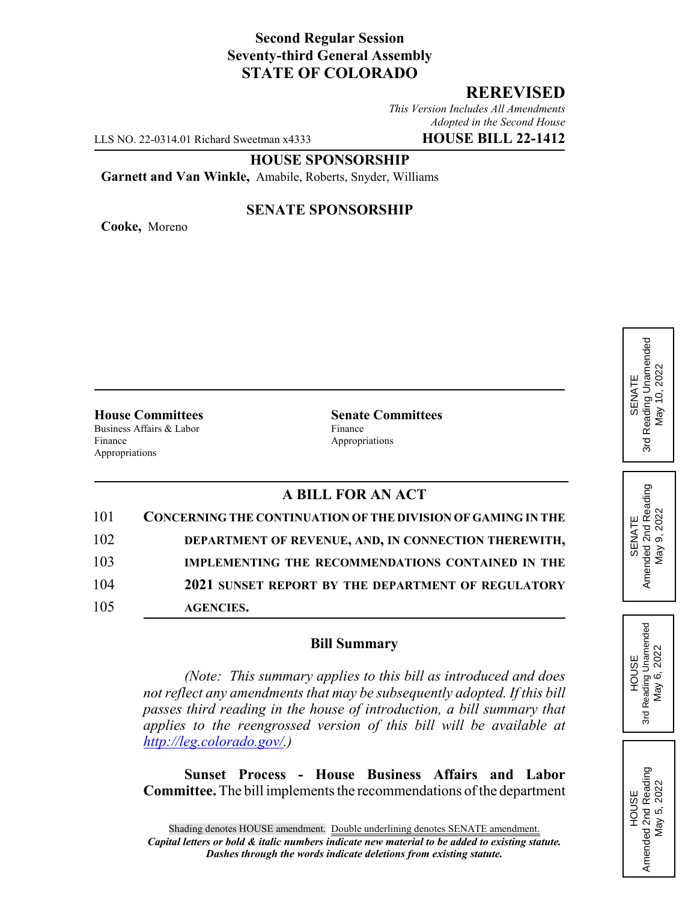## **Second Regular Session Seventy-third General Assembly STATE OF COLORADO**

## **REREVISED**

*This Version Includes All Amendments Adopted in the Second House*

LLS NO. 22-0314.01 Richard Sweetman x4333 **HOUSE BILL 22-1412**

**HOUSE SPONSORSHIP**

**Garnett and Van Winkle,** Amabile, Roberts, Snyder, Williams

**Cooke,** Moreno

#### **SENATE SPONSORSHIP**

Business Affairs & Labor Finance

Finance Appropriations Appropriations

**House Committees Senate Committees**

# **A BILL FOR AN ACT**

| 101 | CONCERNING THE CONTINUATION OF THE DIVISION OF GAMING IN THE |
|-----|--------------------------------------------------------------|
| 102 | DEPARTMENT OF REVENUE, AND, IN CONNECTION THEREWITH,         |
| 103 | <b>IMPLEMENTING THE RECOMMENDATIONS CONTAINED IN THE</b>     |
| 104 | 2021 SUNSET REPORT BY THE DEPARTMENT OF REGULATORY           |
| 105 | <b>AGENCIES.</b>                                             |

### **Bill Summary**

*(Note: This summary applies to this bill as introduced and does not reflect any amendments that may be subsequently adopted. If this bill passes third reading in the house of introduction, a bill summary that applies to the reengrossed version of this bill will be available at http://leg.colorado.gov/.)*

**Sunset Process - House Business Affairs and Labor Committee.** The bill implements the recommendations of the department

Reading Unamended 3rd Reading Unamended May 10, 2022 May 10, 2022 SENATE 3rd

SENATE<br>Amended 2nd Reading<br>May 9, 2022 Amended 2nd Reading May 9, 2022

**HOUSE** 3rd Reading Unamended May 6, 2022

Reading Unamended May 6, 2022

3rd

HOUSE<br>Amended 2nd Reading<br>May 5, 2022 Amended 2nd Reading May 5, 2022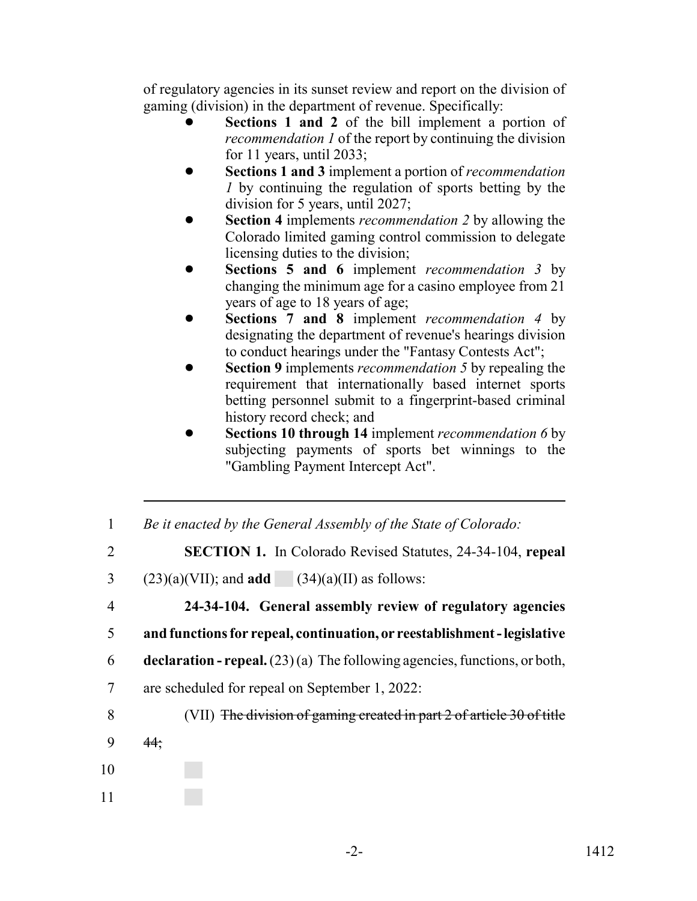of regulatory agencies in its sunset review and report on the division of gaming (division) in the department of revenue. Specifically:

- Sections 1 and 2 of the bill implement a portion of *recommendation 1* of the report by continuing the division for 11 years, until 2033;
- ! **Sections 1 and 3** implement a portion of *recommendation 1* by continuing the regulation of sports betting by the division for 5 years, until 2027;
- ! **Section 4** implements *recommendation 2* by allowing the Colorado limited gaming control commission to delegate licensing duties to the division;
- ! **Sections 5 and 6** implement *recommendation 3* by changing the minimum age for a casino employee from 21 years of age to 18 years of age;
- ! **Sections 7 and 8** implement *recommendation 4* by designating the department of revenue's hearings division to conduct hearings under the "Fantasy Contests Act";
- ! **Section 9** implements *recommendation 5* by repealing the requirement that internationally based internet sports betting personnel submit to a fingerprint-based criminal history record check; and
- ! **Sections 10 through 14** implement *recommendation 6* by subjecting payments of sports bet winnings to the "Gambling Payment Intercept Act".
- 1 *Be it enacted by the General Assembly of the State of Colorado:*
- 2 **SECTION 1.** In Colorado Revised Statutes, 24-34-104, **repeal**
- 3 (23)(a)(VII); and **add** (34)(a)(II) as follows:
- 4 **24-34-104. General assembly review of regulatory agencies**
- 5 **and functions for repeal, continuation, or reestablishment legislative**
- 6 **declaration repeal.** (23) (a) The following agencies, functions, or both,
- 7 are scheduled for repeal on September 1, 2022:
- 8 (VII) The division of gaming created in part 2 of article 30 of title
- $9 \frac{44}{3}$
- 10
- 11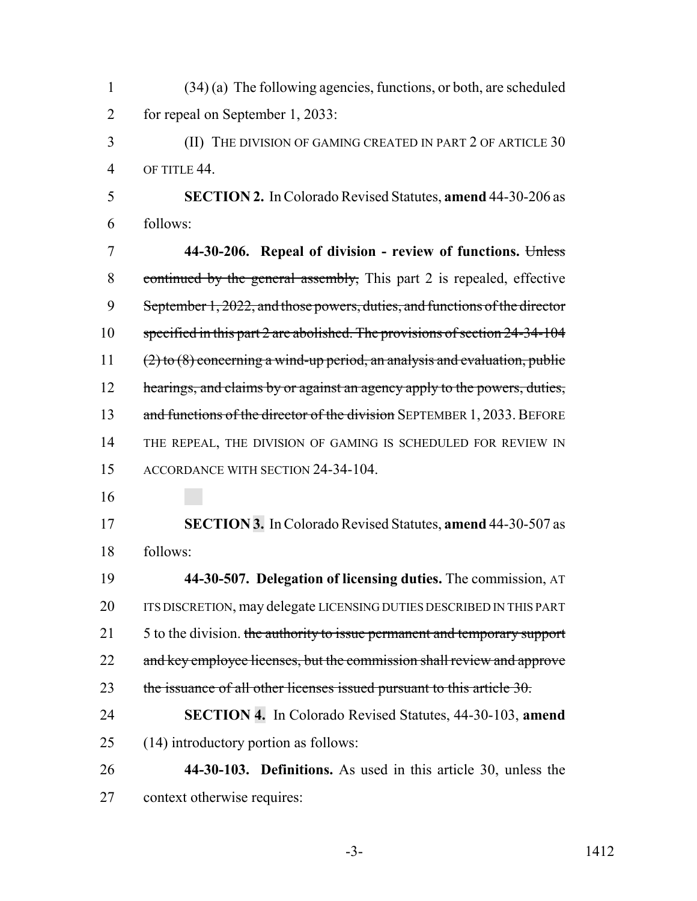| 1              | $(34)$ (a) The following agencies, functions, or both, are scheduled           |
|----------------|--------------------------------------------------------------------------------|
| $\overline{2}$ | for repeal on September 1, 2033:                                               |
| 3              | (II) THE DIVISION OF GAMING CREATED IN PART 2 OF ARTICLE 30                    |
| $\overline{4}$ | OF TITLE 44.                                                                   |
| 5              | <b>SECTION 2.</b> In Colorado Revised Statutes, <b>amend</b> 44-30-206 as      |
| 6              | follows:                                                                       |
| 7              | 44-30-206. Repeal of division - review of functions. Unless                    |
| 8              | continued by the general assembly, This part 2 is repealed, effective          |
| 9              | September 1, 2022, and those powers, duties, and functions of the director     |
| 10             | specified in this part 2 are abolished. The provisions of section 24-34-104    |
| 11             | $(2)$ to $(8)$ concerning a wind-up period, an analysis and evaluation, public |
| 12             | hearings, and claims by or against an agency apply to the powers, duties,      |
| 13             | and functions of the director of the division SEPTEMBER 1, 2033. BEFORE        |
| 14             | THE REPEAL, THE DIVISION OF GAMING IS SCHEDULED FOR REVIEW IN                  |
| 15             | ACCORDANCE WITH SECTION 24-34-104.                                             |
| 16             |                                                                                |
| 17             | <b>SECTION 3.</b> In Colorado Revised Statutes, amend 44-30-507 as             |
| 18             | follows:                                                                       |
| 19             | 44-30-507. Delegation of licensing duties. The commission, AT                  |
| 20             | ITS DISCRETION, may delegate LICENSING DUTIES DESCRIBED IN THIS PART           |
| 21             | 5 to the division. the authority to issue permanent and temporary support      |
| 22             | and key employee licenses, but the commission shall review and approve         |
| 23             | the issuance of all other licenses issued pursuant to this article 30.         |
| 24             | SECTION 4. In Colorado Revised Statutes, 44-30-103, amend                      |
| 25             | (14) introductory portion as follows:                                          |
| 26             | 44-30-103. Definitions. As used in this article 30, unless the                 |
| 27             | context otherwise requires:                                                    |

-3- 1412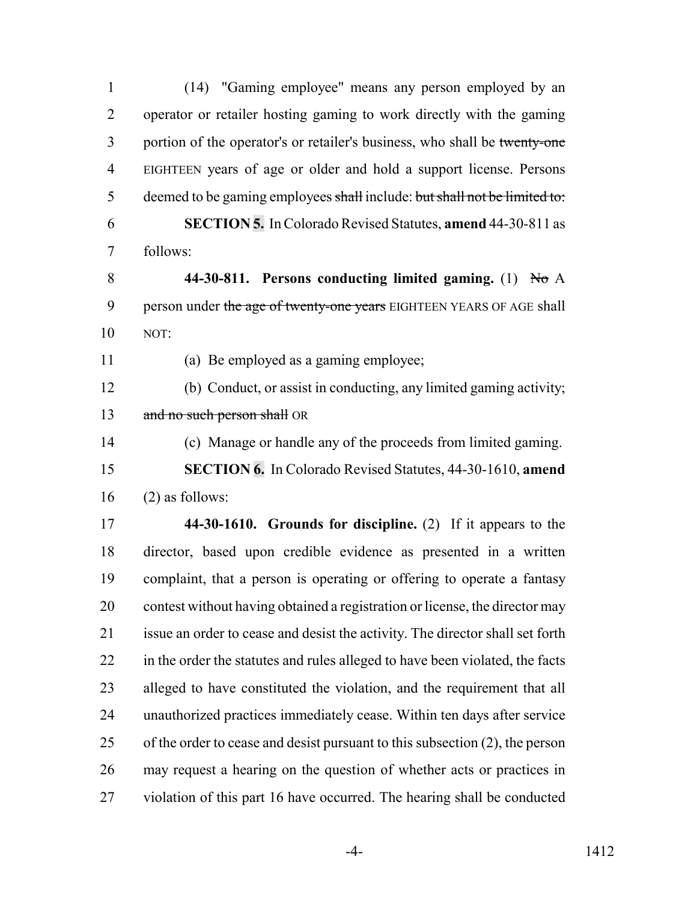| $\mathbf{1}$   | (14) "Gaming employee" means any person employed by an                        |
|----------------|-------------------------------------------------------------------------------|
| $\overline{2}$ | operator or retailer hosting gaming to work directly with the gaming          |
| 3              | portion of the operator's or retailer's business, who shall be twenty-one     |
| $\overline{4}$ | EIGHTEEN years of age or older and hold a support license. Persons            |
| 5              | deemed to be gaming employees shall include: but shall not be limited to:     |
| 6              | <b>SECTION 5.</b> In Colorado Revised Statutes, amend 44-30-811 as            |
| 7              | follows:                                                                      |
| 8              | 44-30-811. Persons conducting limited gaming. (1) No A                        |
| 9              | person under the age of twenty-one years EIGHTEEN YEARS OF AGE shall          |
| 10             | NOT:                                                                          |
| 11             | (a) Be employed as a gaming employee;                                         |
| 12             | (b) Conduct, or assist in conducting, any limited gaming activity;            |
| 13             | and no such person shall OR                                                   |
| 14             | (c) Manage or handle any of the proceeds from limited gaming.                 |
| 15             | <b>SECTION 6.</b> In Colorado Revised Statutes, 44-30-1610, amend             |
| 16             | $(2)$ as follows:                                                             |
| 17             | 44-30-1610. Grounds for discipline. (2) If it appears to the                  |
| 18             | director, based upon credible evidence as presented in a written              |
| 19             | complaint, that a person is operating or offering to operate a fantasy        |
| 20             | contest without having obtained a registration or license, the director may   |
| 21             | issue an order to cease and desist the activity. The director shall set forth |
| 22             | in the order the statutes and rules alleged to have been violated, the facts  |
| 23             | alleged to have constituted the violation, and the requirement that all       |
| 24             | unauthorized practices immediately cease. Within ten days after service       |
| 25             | of the order to cease and desist pursuant to this subsection (2), the person  |
| 26             | may request a hearing on the question of whether acts or practices in         |
| 27             | violation of this part 16 have occurred. The hearing shall be conducted       |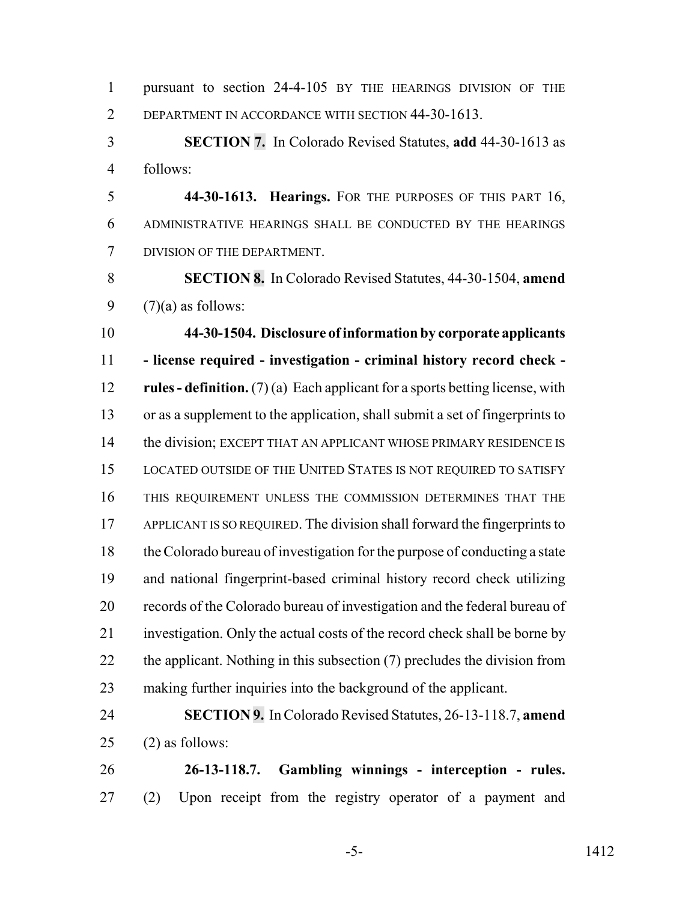| $\mathbf{1}$   | pursuant to section 24-4-105 BY THE HEARINGS DIVISION OF THE                   |
|----------------|--------------------------------------------------------------------------------|
| $\overline{2}$ | DEPARTMENT IN ACCORDANCE WITH SECTION 44-30-1613.                              |
| 3              | <b>SECTION 7.</b> In Colorado Revised Statutes, add 44-30-1613 as              |
| $\overline{4}$ | follows:                                                                       |
| 5              | 44-30-1613. Hearings. FOR THE PURPOSES OF THIS PART 16,                        |
| 6              | ADMINISTRATIVE HEARINGS SHALL BE CONDUCTED BY THE HEARINGS                     |
| 7              | DIVISION OF THE DEPARTMENT.                                                    |
| 8              | SECTION 8. In Colorado Revised Statutes, 44-30-1504, amend                     |
| 9              | $(7)(a)$ as follows:                                                           |
| 10             | 44-30-1504. Disclosure of information by corporate applicants                  |
| 11             | - license required - investigation - criminal history record check -           |
| 12             | rules - definition. $(7)(a)$ Each applicant for a sports betting license, with |
| 13             | or as a supplement to the application, shall submit a set of fingerprints to   |
| 14             | the division; EXCEPT THAT AN APPLICANT WHOSE PRIMARY RESIDENCE IS              |
| 15             | LOCATED OUTSIDE OF THE UNITED STATES IS NOT REQUIRED TO SATISFY                |
| 16             | THIS REQUIREMENT UNLESS THE COMMISSION DETERMINES THAT THE                     |
| 17             | APPLICANT IS SO REQUIRED. The division shall forward the fingerprints to       |
| 18             | the Colorado bureau of investigation for the purpose of conducting a state     |
| 19             | and national fingerprint-based criminal history record check utilizing         |
| 20             | records of the Colorado bureau of investigation and the federal bureau of      |
| 21             | investigation. Only the actual costs of the record check shall be borne by     |
| 22             | the applicant. Nothing in this subsection $(7)$ precludes the division from    |
| 23             | making further inquiries into the background of the applicant.                 |
| 24             | SECTION 9. In Colorado Revised Statutes, 26-13-118.7, amend                    |
| 25             | $(2)$ as follows:                                                              |
| 26             | Gambling winnings - interception - rules.<br>26-13-118.7.                      |
| 27             | Upon receipt from the registry operator of a payment and<br>(2)                |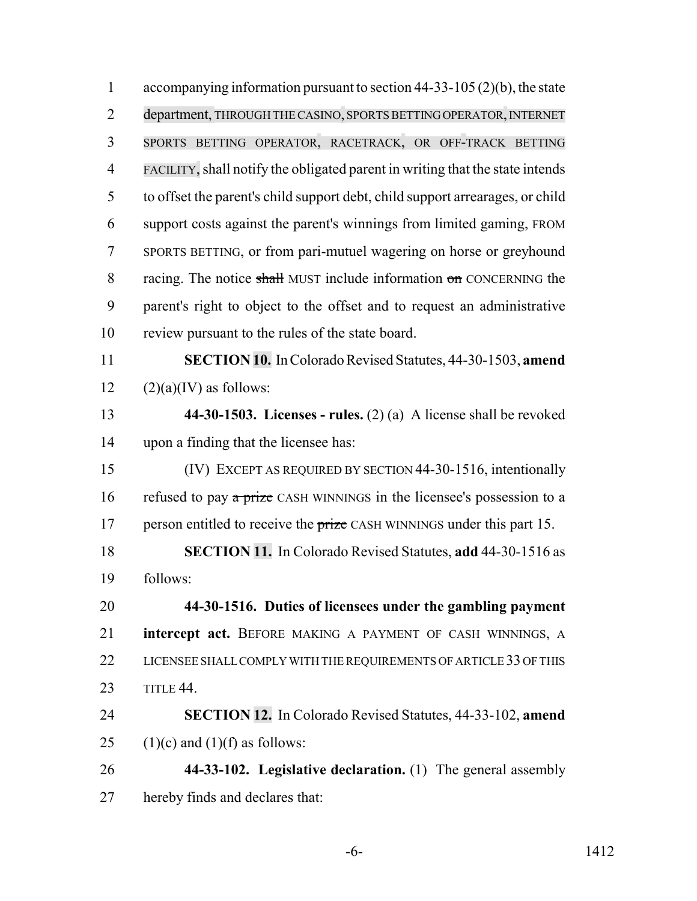accompanying information pursuant to section 44-33-105 (2)(b), the state 2 department, THROUGH THE CASINO, SPORTS BETTING OPERATOR, INTERNET SPORTS BETTING OPERATOR, RACETRACK, OR OFF-TRACK BETTING FACILITY, shall notify the obligated parent in writing that the state intends to offset the parent's child support debt, child support arrearages, or child support costs against the parent's winnings from limited gaming, FROM SPORTS BETTING, or from pari-mutuel wagering on horse or greyhound 8 racing. The notice shall MUST include information on CONCERNING the parent's right to object to the offset and to request an administrative review pursuant to the rules of the state board. **SECTION 10.** In Colorado Revised Statutes, 44-30-1503, **amend**  $(2)(a)(IV)$  as follows: **44-30-1503. Licenses - rules.** (2) (a) A license shall be revoked upon a finding that the licensee has: (IV) EXCEPT AS REQUIRED BY SECTION 44-30-1516, intentionally 16 refused to pay  $\alpha$  prize CASH WINNINGS in the licensee's possession to a 17 person entitled to receive the prize CASH WINNINGS under this part 15. **SECTION 11.** In Colorado Revised Statutes, **add** 44-30-1516 as follows: **44-30-1516. Duties of licensees under the gambling payment intercept act.** BEFORE MAKING A PAYMENT OF CASH WINNINGS, A 22 LICENSEE SHALL COMPLY WITH THE REQUIREMENTS OF ARTICLE 33 OF THIS TITLE 44. **SECTION 12.** In Colorado Revised Statutes, 44-33-102, **amend** 25 (1)(c) and (1)(f) as follows: **44-33-102. Legislative declaration.** (1) The general assembly hereby finds and declares that: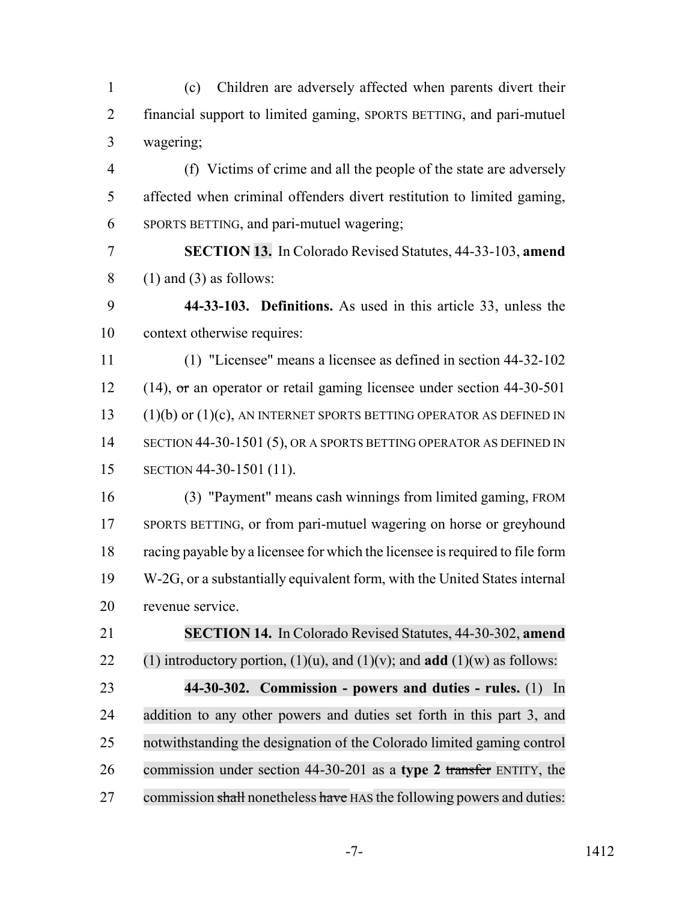(c) Children are adversely affected when parents divert their financial support to limited gaming, SPORTS BETTING, and pari-mutuel wagering;

- (f) Victims of crime and all the people of the state are adversely affected when criminal offenders divert restitution to limited gaming, SPORTS BETTING, and pari-mutuel wagering;
- **SECTION 13.** In Colorado Revised Statutes, 44-33-103, **amend** (1) and (3) as follows:

 **44-33-103. Definitions.** As used in this article 33, unless the context otherwise requires:

 (1) "Licensee" means a licensee as defined in section 44-32-102 12 (14), or an operator or retail gaming licensee under section 44-30-501 (1)(b) or (1)(c), AN INTERNET SPORTS BETTING OPERATOR AS DEFINED IN 14 SECTION 44-30-1501 (5), OR A SPORTS BETTING OPERATOR AS DEFINED IN SECTION 44-30-1501 (11).

 (3) "Payment" means cash winnings from limited gaming, FROM SPORTS BETTING, or from pari-mutuel wagering on horse or greyhound racing payable by a licensee for which the licensee is required to file form W-2G, or a substantially equivalent form, with the United States internal revenue service.

 **SECTION 14.** In Colorado Revised Statutes, 44-30-302, **amend** 22 (1) introductory portion,  $(1)(u)$ , and  $(1)(v)$ ; and **add**  $(1)(w)$  as follows: **44-30-302. Commission - powers and duties - rules.** (1) In addition to any other powers and duties set forth in this part 3, and notwithstanding the designation of the Colorado limited gaming control commission under section 44-30-201 as a **type 2** transfer ENTITY, the 27 commission shall nonetheless have HAS the following powers and duties: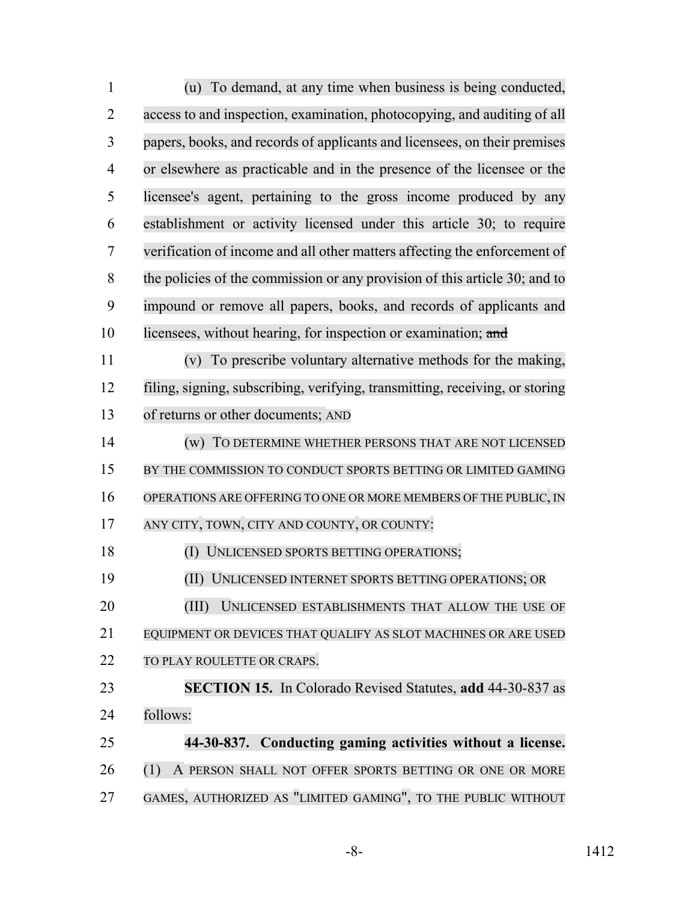| $\mathbf{1}$   | To demand, at any time when business is being conducted,<br>(u)              |
|----------------|------------------------------------------------------------------------------|
| $\overline{2}$ | access to and inspection, examination, photocopying, and auditing of all     |
| 3              | papers, books, and records of applicants and licensees, on their premises    |
| 4              | or elsewhere as practicable and in the presence of the licensee or the       |
| 5              | licensee's agent, pertaining to the gross income produced by any             |
| 6              | establishment or activity licensed under this article 30; to require         |
| 7              | verification of income and all other matters affecting the enforcement of    |
| 8              | the policies of the commission or any provision of this article 30; and to   |
| 9              | impound or remove all papers, books, and records of applicants and           |
| 10             | licensees, without hearing, for inspection or examination; and               |
| 11             | To prescribe voluntary alternative methods for the making,<br>(v)            |
| 12             | filing, signing, subscribing, verifying, transmitting, receiving, or storing |
| 13             | of returns or other documents; AND                                           |
| 14             | (w) TO DETERMINE WHETHER PERSONS THAT ARE NOT LICENSED                       |
| 15             | BY THE COMMISSION TO CONDUCT SPORTS BETTING OR LIMITED GAMING                |
| 16             | OPERATIONS ARE OFFERING TO ONE OR MORE MEMBERS OF THE PUBLIC, IN             |
| 17             | ANY CITY, TOWN, CITY AND COUNTY, OR COUNTY:                                  |
| 18             | (I) UNLICENSED SPORTS BETTING OPERATIONS;                                    |
| 19             | (II) UNLICENSED INTERNET SPORTS BETTING OPERATIONS; OR                       |
| 20             | (III)<br>UNLICENSED ESTABLISHMENTS THAT ALLOW THE USE OF                     |
| 21             | EQUIPMENT OR DEVICES THAT QUALIFY AS SLOT MACHINES OR ARE USED               |
| 22             | TO PLAY ROULETTE OR CRAPS.                                                   |
| 23             | <b>SECTION 15.</b> In Colorado Revised Statutes, add 44-30-837 as            |
| 24             | follows:                                                                     |
| 25             | 44-30-837. Conducting gaming activities without a license.                   |
| 26             | (1)<br>A PERSON SHALL NOT OFFER SPORTS BETTING OR ONE OR MORE                |
| 27             | GAMES, AUTHORIZED AS "LIMITED GAMING", TO THE PUBLIC WITHOUT                 |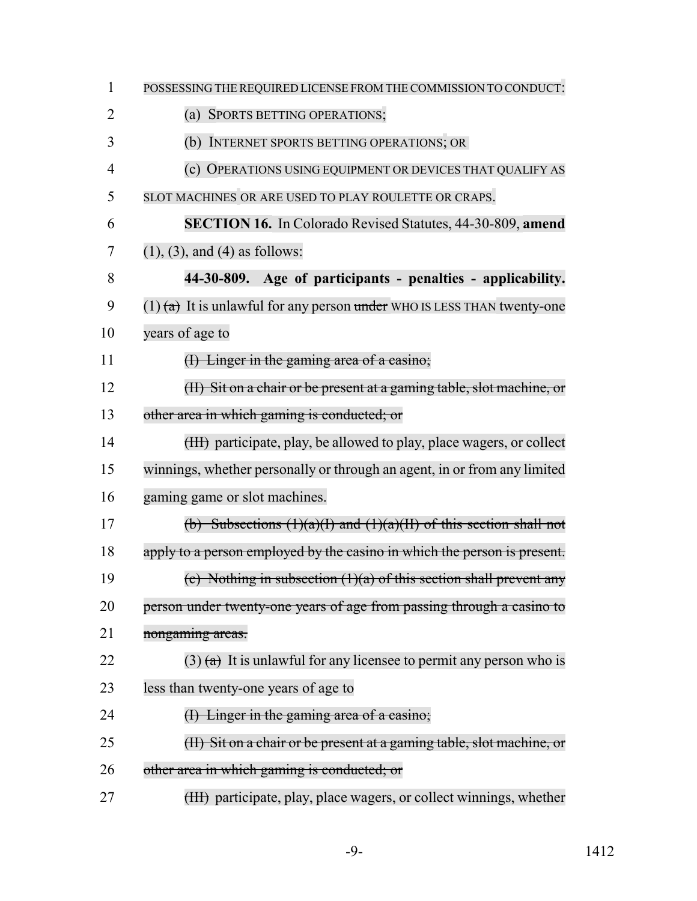| $\mathbf{1}$   | POSSESSING THE REQUIRED LICENSE FROM THE COMMISSION TO CONDUCT:             |
|----------------|-----------------------------------------------------------------------------|
| 2              | SPORTS BETTING OPERATIONS;<br>(a)                                           |
| 3              | (b)<br>INTERNET SPORTS BETTING OPERATIONS; OR                               |
| $\overline{4}$ | (c) OPERATIONS USING EQUIPMENT OR DEVICES THAT QUALIFY AS                   |
| 5              | SLOT MACHINES OR ARE USED TO PLAY ROULETTE OR CRAPS.                        |
| 6              | <b>SECTION 16.</b> In Colorado Revised Statutes, 44-30-809, amend           |
| 7              | $(1)$ , $(3)$ , and $(4)$ as follows:                                       |
| 8              | 44-30-809.<br>Age of participants - penalties - applicability.              |
| 9              | $(1)$ $(a)$ It is unlawful for any person under WHO IS LESS THAN twenty-one |
| 10             | years of age to                                                             |
| 11             | (I) Linger in the gaming area of a casino;                                  |
| 12             | (II) Sit on a chair or be present at a gaming table, slot machine, or       |
| 13             | other area in which gaming is conducted; or                                 |
| 14             | (HI) participate, play, be allowed to play, place wagers, or collect        |
| 15             | winnings, whether personally or through an agent, in or from any limited    |
| 16             | gaming game or slot machines.                                               |
| 17             | (b) Subsections $(1)(a)(I)$ and $(1)(a)(II)$ of this section shall not      |
| 18             | apply to a person employed by the casino in which the person is present.    |
| 19             | (c) Nothing in subsection $(1)(a)$ of this section shall prevent any        |
| 20             | person under twenty-one years of age from passing through a casino to       |
| 21             | nongaming areas.                                                            |
| 22             | $(3)$ (a) It is unlawful for any licensee to permit any person who is       |
| 23             | less than twenty-one years of age to                                        |
| 24             | (I) Linger in the gaming area of a casino;                                  |
| 25             | (II) Sit on a chair or be present at a gaming table, slot machine, or       |
| 26             | other area in which gaming is conducted; or                                 |
| 27             | (HI) participate, play, place wagers, or collect winnings, whether          |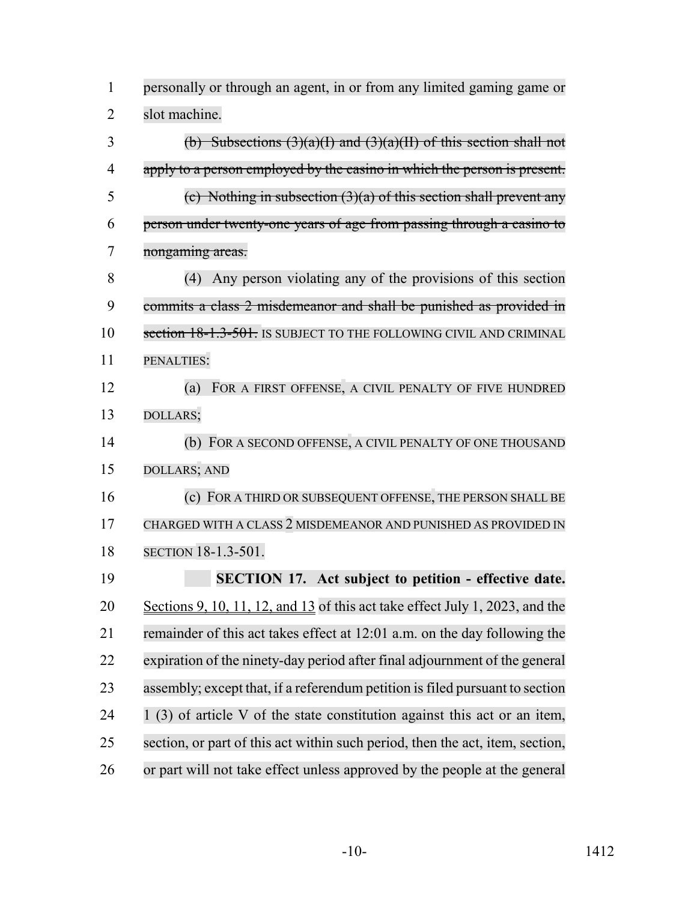| $\mathbf{1}$   | personally or through an agent, in or from any limited gaming game or          |
|----------------|--------------------------------------------------------------------------------|
| $\overline{2}$ | slot machine.                                                                  |
| 3              | (b) Subsections $(3)(a)(I)$ and $(3)(a)(II)$ of this section shall not         |
| $\overline{4}$ | apply to a person employed by the casino in which the person is present.       |
| 5              | (c) Nothing in subsection $(3)(a)$ of this section shall prevent any           |
| 6              | person under twenty-one years of age from passing through a casino to          |
| 7              | nongaming areas.                                                               |
| 8              | Any person violating any of the provisions of this section<br>(4)              |
| 9              | commits a class 2 misdemeanor and shall be punished as provided in             |
| 10             | section 18-1.3-501. IS SUBJECT TO THE FOLLOWING CIVIL AND CRIMINAL             |
| 11             | PENALTIES:                                                                     |
| 12             | FOR A FIRST OFFENSE, A CIVIL PENALTY OF FIVE HUNDRED<br>(a)                    |
| 13             | DOLLARS;                                                                       |
| 14             | (b) FOR A SECOND OFFENSE, A CIVIL PENALTY OF ONE THOUSAND                      |
| 15             | <b>DOLLARS; AND</b>                                                            |
| 16             | (c) FOR A THIRD OR SUBSEQUENT OFFENSE, THE PERSON SHALL BE                     |
| 17             | CHARGED WITH A CLASS 2 MISDEMEANOR AND PUNISHED AS PROVIDED IN                 |
| 18             | <b>SECTION</b> 18-1.3-501.                                                     |
| 19             | <b>SECTION 17.</b> Act subject to petition - effective date.                   |
| 20             | Sections 9, 10, 11, 12, and $13$ of this act take effect July 1, 2023, and the |
| 21             | remainder of this act takes effect at 12:01 a.m. on the day following the      |
| 22             | expiration of the ninety-day period after final adjournment of the general     |
| 23             | assembly; except that, if a referendum petition is filed pursuant to section   |
| 24             | (3) of article V of the state constitution against this act or an item,        |
| 25             | section, or part of this act within such period, then the act, item, section,  |
| 26             | or part will not take effect unless approved by the people at the general      |